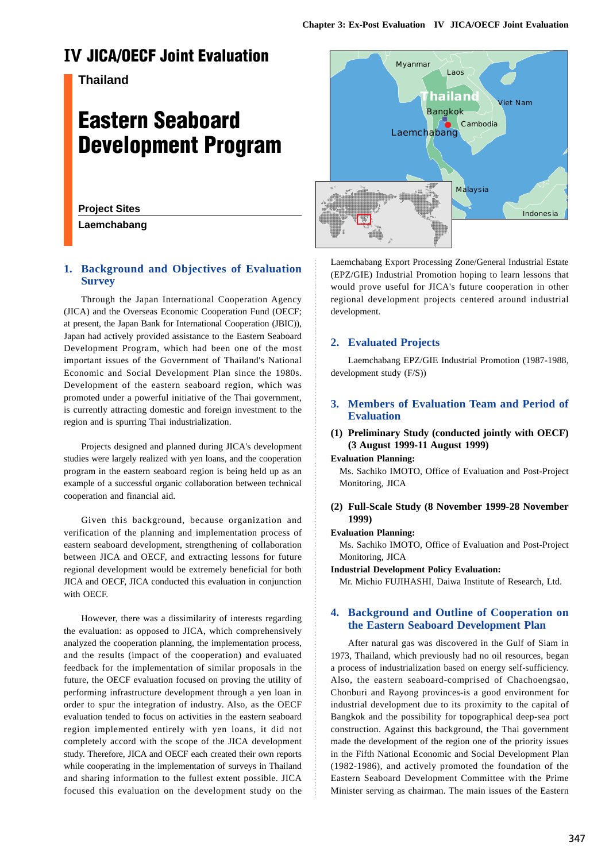# **IV JICA/OECF Joint Evaluation**

# **Thailand**

# **Eastern Seaboard Development Program**

# **Project Sites**

**Laemchabang**

# **1. Background and Objectives of Evaluation Survey**

Through the Japan International Cooperation Agency (JICA) and the Overseas Economic Cooperation Fund (OECF; at present, the Japan Bank for International Cooperation (JBIC)), Japan had actively provided assistance to the Eastern Seaboard Development Program, which had been one of the most important issues of the Government of Thailand's National Economic and Social Development Plan since the 1980s. Development of the eastern seaboard region, which was promoted under a powerful initiative of the Thai government, is currently attracting domestic and foreign investment to the region and is spurring Thai industrialization.

Projects designed and planned during JICA's development studies were largely realized with yen loans, and the cooperation program in the eastern seaboard region is being held up as an example of a successful organic collaboration between technical cooperation and financial aid.

Given this background, because organization and verification of the planning and implementation process of eastern seaboard development, strengthening of collaboration between JICA and OECF, and extracting lessons for future regional development would be extremely beneficial for both JICA and OECF, JICA conducted this evaluation in conjunction with OECF.

However, there was a dissimilarity of interests regarding the evaluation: as opposed to JICA, which comprehensively analyzed the cooperation planning, the implementation process, and the results (impact of the cooperation) and evaluated feedback for the implementation of similar proposals in the future, the OECF evaluation focused on proving the utility of performing infrastructure development through a yen loan in order to spur the integration of industry. Also, as the OECF evaluation tended to focus on activities in the eastern seaboard region implemented entirely with yen loans, it did not completely accord with the scope of the JICA development study. Therefore, JICA and OECF each created their own reports while cooperating in the implementation of surveys in Thailand and sharing information to the fullest extent possible. JICA focused this evaluation on the development study on the



Laemchabang Export Processing Zone/General Industrial Estate (EPZ/GIE) Industrial Promotion hoping to learn lessons that would prove useful for JICA's future cooperation in other regional development projects centered around industrial development.

#### **2. Evaluated Projects**

Laemchabang EPZ/GIE Industrial Promotion (1987-1988, development study (F/S))

# **3. Members of Evaluation Team and Period of Evaluation**

# **(1) Preliminary Study (conducted jointly with OECF) (3 August 1999-11 August 1999)**

#### **Evaluation Planning:**

Ms. Sachiko IMOTO, Office of Evaluation and Post-Project Monitoring, JICA

#### **(2) Full-Scale Study (8 November 1999-28 November 1999)**

#### **Evaluation Planning:**

Ms. Sachiko IMOTO, Office of Evaluation and Post-Project Monitoring, JICA

#### **Industrial Development Policy Evaluation:**

Mr. Michio FUJIHASHI, Daiwa Institute of Research, Ltd.

#### **4. Background and Outline of Cooperation on the Eastern Seaboard Development Plan**

After natural gas was discovered in the Gulf of Siam in 1973, Thailand, which previously had no oil resources, began a process of industrialization based on energy self-sufficiency. Also, the eastern seaboard-comprised of Chachoengsao, Chonburi and Rayong provinces-is a good environment for industrial development due to its proximity to the capital of Bangkok and the possibility for topographical deep-sea port construction. Against this background, the Thai government made the development of the region one of the priority issues in the Fifth National Economic and Social Development Plan (1982-1986), and actively promoted the foundation of the Eastern Seaboard Development Committee with the Prime Minister serving as chairman. The main issues of the Eastern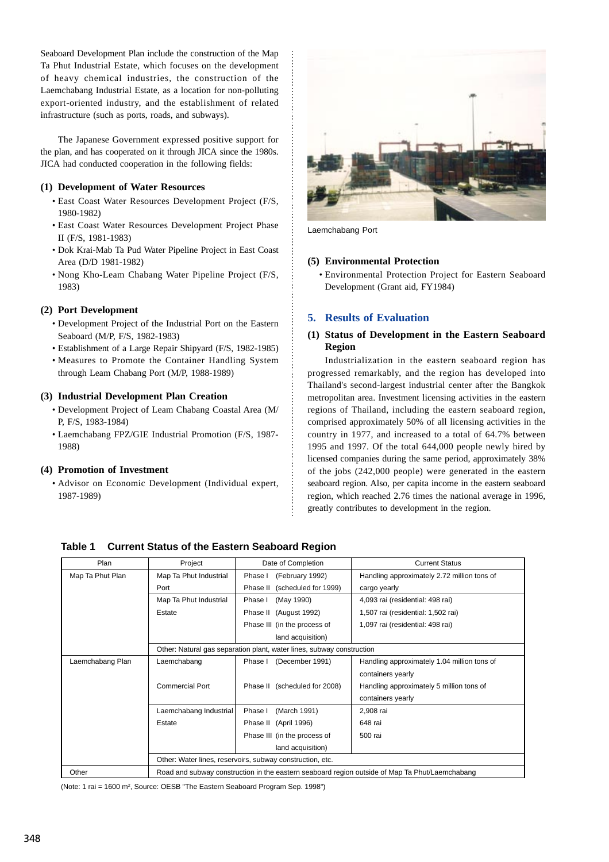Seaboard Development Plan include the construction of the Map Ta Phut Industrial Estate, which focuses on the development of heavy chemical industries, the construction of the Laemchabang Industrial Estate, as a location for non-polluting export-oriented industry, and the establishment of related infrastructure (such as ports, roads, and subways).

The Japanese Government expressed positive support for the plan, and has cooperated on it through JICA since the 1980s. JICA had conducted cooperation in the following fields:

#### **(1) Development of Water Resources**

- East Coast Water Resources Development Project (F/S, 1980-1982)
- East Coast Water Resources Development Project Phase II (F/S, 1981-1983)
- Dok Krai-Mab Ta Pud Water Pipeline Project in East Coast Area (D/D 1981-1982)
- Nong Kho-Leam Chabang Water Pipeline Project (F/S, 1983)

#### **(2) Port Development**

- Development Project of the Industrial Port on the Eastern Seaboard (M/P, F/S, 1982-1983)
- Establishment of a Large Repair Shipyard (F/S, 1982-1985)
- Measures to Promote the Container Handling System through Leam Chabang Port (M/P, 1988-1989)

#### **(3) Industrial Development Plan Creation**

- Development Project of Leam Chabang Coastal Area (M/ P, F/S, 1983-1984)
- Laemchabang FPZ/GIE Industrial Promotion (F/S, 1987- 1988)

#### **(4) Promotion of Investment**

• Advisor on Economic Development (Individual expert, 1987-1989)



Laemchabang Port

#### **(5) Environmental Protection**

• Environmental Protection Project for Eastern Seaboard Development (Grant aid, FY1984)

#### **5. Results of Evaluation**

#### **(1) Status of Development in the Eastern Seaboard Region**

Industrialization in the eastern seaboard region has progressed remarkably, and the region has developed into Thailand's second-largest industrial center after the Bangkok metropolitan area. Investment licensing activities in the eastern regions of Thailand, including the eastern seaboard region, comprised approximately 50% of all licensing activities in the country in 1977, and increased to a total of 64.7% between 1995 and 1997. Of the total 644,000 people newly hired by licensed companies during the same period, approximately 38% of the jobs (242,000 people) were generated in the eastern seaboard region. Also, per capita income in the eastern seaboard region, which reached 2.76 times the national average in 1996, greatly contributes to development in the region.

| Plan             | Project                                                                                        | Date of Completion               | <b>Current Status</b>                       |  |  |
|------------------|------------------------------------------------------------------------------------------------|----------------------------------|---------------------------------------------|--|--|
| Map Ta Phut Plan | Map Ta Phut Industrial                                                                         | (February 1992)<br>Phase I       | Handling approximately 2.72 million tons of |  |  |
|                  | Port                                                                                           | (scheduled for 1999)<br>Phase II | cargo yearly                                |  |  |
|                  | Map Ta Phut Industrial                                                                         | (May 1990)<br>Phase I            | 4,093 rai (residential: 498 rai)            |  |  |
|                  | Estate                                                                                         | Phase II<br>(August 1992)        | 1,507 rai (residential: 1,502 rai)          |  |  |
|                  |                                                                                                | Phase III (in the process of     | 1,097 rai (residential: 498 rai)            |  |  |
|                  |                                                                                                | land acquisition)                |                                             |  |  |
|                  | Other: Natural gas separation plant, water lines, subway construction                          |                                  |                                             |  |  |
| Laemchabang Plan | Laemchabang                                                                                    | Phase I<br>(December 1991)       | Handling approximately 1.04 million tons of |  |  |
|                  |                                                                                                |                                  | containers yearly                           |  |  |
|                  | <b>Commercial Port</b>                                                                         | Phase II (scheduled for 2008)    | Handling approximately 5 million tons of    |  |  |
|                  |                                                                                                |                                  | containers yearly                           |  |  |
|                  | Laemchabang Industrial                                                                         | (March 1991)<br>Phase I          | 2,908 rai                                   |  |  |
|                  | Estate                                                                                         | Phase II (April 1996)            | 648 rai                                     |  |  |
|                  |                                                                                                | Phase III (in the process of     | 500 rai                                     |  |  |
|                  |                                                                                                | land acquisition)                |                                             |  |  |
|                  | Other: Water lines, reservoirs, subway construction, etc.                                      |                                  |                                             |  |  |
| Other            | Road and subway construction in the eastern seaboard region outside of Map Ta Phut/Laemchabang |                                  |                                             |  |  |

**Table 1 Current Status of the Eastern Seaboard Region**

(Note: 1 rai = 1600 m<sup>2</sup>, Source: OESB "The Eastern Seaboard Program Sep. 1998")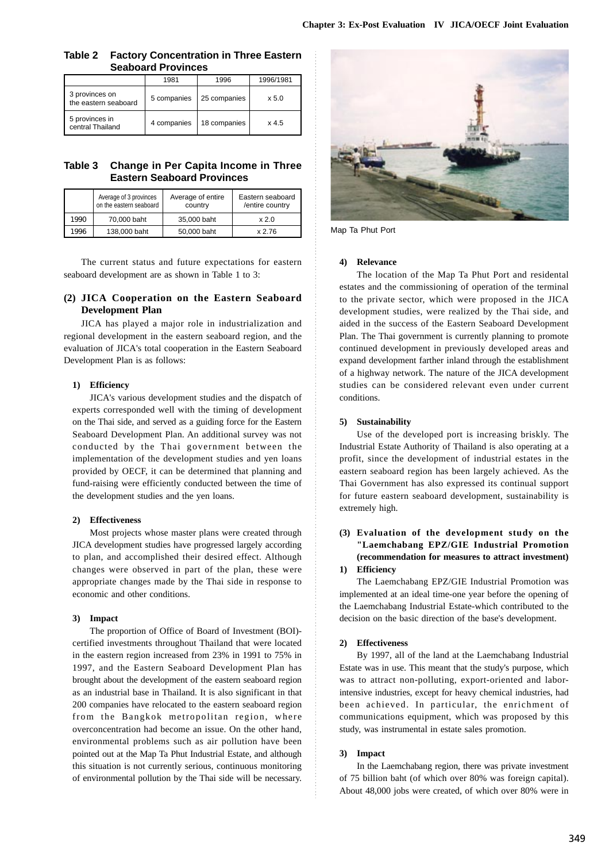# **Table 2 Factory Concentration in Three Eastern Seaboard Provinces**

|                                        | 1981        | 1996         | 1996/1981 |
|----------------------------------------|-------------|--------------|-----------|
| 3 provinces on<br>the eastern seaboard | 5 companies | 25 companies | x 5.0     |
| 5 provinces in<br>central Thailand     | 4 companies | 18 companies | $x$ 4.5   |

# **Table 3 Change in Per Capita Income in Three Eastern Seaboard Provinces**

|      | Average of 3 provinces<br>on the eastern seaboard | Average of entire<br>country | Eastern seaboard<br>/entire country |
|------|---------------------------------------------------|------------------------------|-------------------------------------|
| 1990 | 70,000 baht                                       | 35,000 baht                  | x 2.0                               |
| 1996 | 138,000 baht                                      | 50,000 baht                  | x 2.76                              |

The current status and future expectations for eastern seaboard development are as shown in Table 1 to 3:

# **(2) JICA Cooperation on the Eastern Seaboard Development Plan**

JICA has played a major role in industrialization and regional development in the eastern seaboard region, and the evaluation of JICA's total cooperation in the Eastern Seaboard Development Plan is as follows:

# **1) Efficiency**

JICA's various development studies and the dispatch of experts corresponded well with the timing of development on the Thai side, and served as a guiding force for the Eastern Seaboard Development Plan. An additional survey was not conducted by the Thai government between the implementation of the development studies and yen loans provided by OECF, it can be determined that planning and fund-raising were efficiently conducted between the time of the development studies and the yen loans.

# **2) Effectiveness**

Most projects whose master plans were created through JICA development studies have progressed largely according to plan, and accomplished their desired effect. Although changes were observed in part of the plan, these were appropriate changes made by the Thai side in response to economic and other conditions.

# **3) Impact**

The proportion of Office of Board of Investment (BOI) certified investments throughout Thailand that were located in the eastern region increased from 23% in 1991 to 75% in 1997, and the Eastern Seaboard Development Plan has brought about the development of the eastern seaboard region as an industrial base in Thailand. It is also significant in that 200 companies have relocated to the eastern seaboard region from the Bangkok metropolitan region, where overconcentration had become an issue. On the other hand, environmental problems such as air pollution have been pointed out at the Map Ta Phut Industrial Estate, and although this situation is not currently serious, continuous monitoring of environmental pollution by the Thai side will be necessary.



Map Ta Phut Port

# **4) Relevance**

The location of the Map Ta Phut Port and residental estates and the commissioning of operation of the terminal to the private sector, which were proposed in the JICA development studies, were realized by the Thai side, and aided in the success of the Eastern Seaboard Development Plan. The Thai government is currently planning to promote continued development in previously developed areas and expand development farther inland through the establishment of a highway network. The nature of the JICA development studies can be considered relevant even under current conditions.

# **5) Sustainability**

Use of the developed port is increasing briskly. The Industrial Estate Authority of Thailand is also operating at a profit, since the development of industrial estates in the eastern seaboard region has been largely achieved. As the Thai Government has also expressed its continual support for future eastern seaboard development, sustainability is extremely high.

#### **(3) Evaluation of the development study on the "Laemchabang EPZ/GIE Industrial Promotion (recommendation for measures to attract investment) 1) Efficiency**

The Laemchabang EPZ/GIE Industrial Promotion was implemented at an ideal time-one year before the opening of the Laemchabang Industrial Estate-which contributed to the decision on the basic direction of the base's development.

# **2) Effectiveness**

By 1997, all of the land at the Laemchabang Industrial Estate was in use. This meant that the study's purpose, which was to attract non-polluting, export-oriented and laborintensive industries, except for heavy chemical industries, had been achieved. In particular, the enrichment of communications equipment, which was proposed by this study, was instrumental in estate sales promotion.

# **3) Impact**

In the Laemchabang region, there was private investment of 75 billion baht (of which over 80% was foreign capital). About 48,000 jobs were created, of which over 80% were in